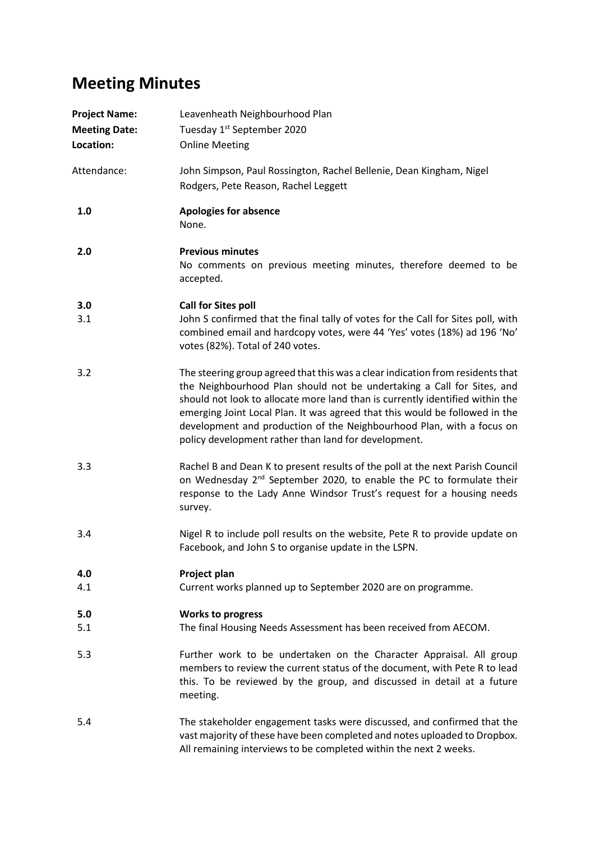## **Meeting Minutes**

| <b>Project Name:</b><br><b>Meeting Date:</b><br>Location: | Leavenheath Neighbourhood Plan<br>Tuesday 1 <sup>st</sup> September 2020<br><b>Online Meeting</b>                                                                                                                                                                                                                                                                                                                                                         |
|-----------------------------------------------------------|-----------------------------------------------------------------------------------------------------------------------------------------------------------------------------------------------------------------------------------------------------------------------------------------------------------------------------------------------------------------------------------------------------------------------------------------------------------|
| Attendance:                                               | John Simpson, Paul Rossington, Rachel Bellenie, Dean Kingham, Nigel<br>Rodgers, Pete Reason, Rachel Leggett                                                                                                                                                                                                                                                                                                                                               |
| 1.0                                                       | <b>Apologies for absence</b><br>None.                                                                                                                                                                                                                                                                                                                                                                                                                     |
| 2.0                                                       | <b>Previous minutes</b><br>No comments on previous meeting minutes, therefore deemed to be<br>accepted.                                                                                                                                                                                                                                                                                                                                                   |
| 3.0<br>3.1                                                | <b>Call for Sites poll</b><br>John S confirmed that the final tally of votes for the Call for Sites poll, with<br>combined email and hardcopy votes, were 44 'Yes' votes (18%) ad 196 'No'<br>votes (82%). Total of 240 votes.                                                                                                                                                                                                                            |
| 3.2                                                       | The steering group agreed that this was a clear indication from residents that<br>the Neighbourhood Plan should not be undertaking a Call for Sites, and<br>should not look to allocate more land than is currently identified within the<br>emerging Joint Local Plan. It was agreed that this would be followed in the<br>development and production of the Neighbourhood Plan, with a focus on<br>policy development rather than land for development. |
| 3.3                                                       | Rachel B and Dean K to present results of the poll at the next Parish Council<br>on Wednesday 2 <sup>nd</sup> September 2020, to enable the PC to formulate their<br>response to the Lady Anne Windsor Trust's request for a housing needs<br>survey.                                                                                                                                                                                                     |
| 3.4                                                       | Nigel R to include poll results on the website, Pete R to provide update on<br>Facebook, and John S to organise update in the LSPN.                                                                                                                                                                                                                                                                                                                       |
| 4.0<br>4.1                                                | Project plan<br>Current works planned up to September 2020 are on programme.                                                                                                                                                                                                                                                                                                                                                                              |
| 5.0<br>5.1                                                | <b>Works to progress</b><br>The final Housing Needs Assessment has been received from AECOM.                                                                                                                                                                                                                                                                                                                                                              |
| 5.3                                                       | Further work to be undertaken on the Character Appraisal. All group<br>members to review the current status of the document, with Pete R to lead<br>this. To be reviewed by the group, and discussed in detail at a future<br>meeting.                                                                                                                                                                                                                    |
| 5.4                                                       | The stakeholder engagement tasks were discussed, and confirmed that the<br>vast majority of these have been completed and notes uploaded to Dropbox.<br>All remaining interviews to be completed within the next 2 weeks.                                                                                                                                                                                                                                 |